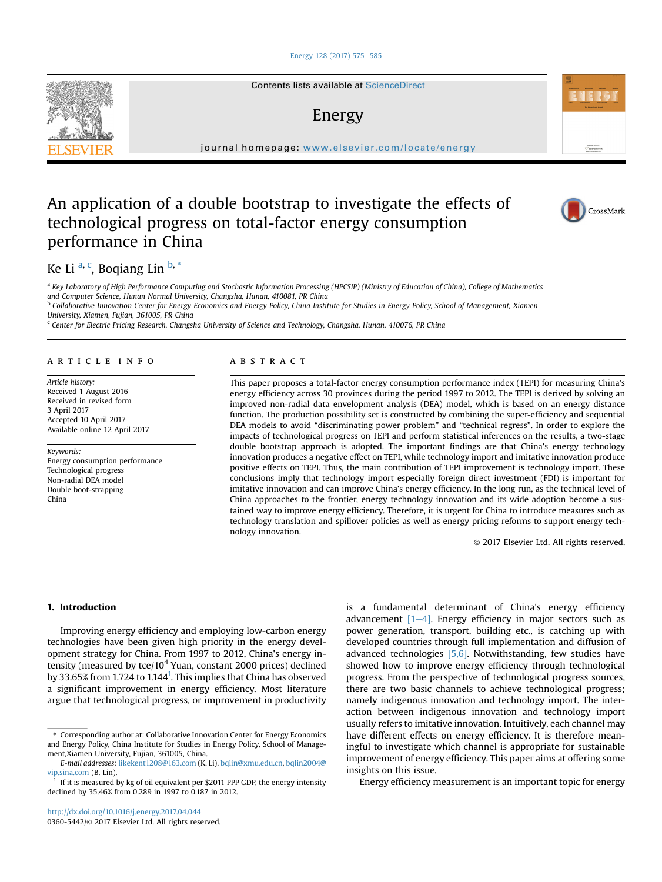## [Energy 128 \(2017\) 575](http://dx.doi.org/10.1016/j.energy.2017.04.044)-[585](http://dx.doi.org/10.1016/j.energy.2017.04.044)

Contents lists available at ScienceDirect

# Energy

 $j<sub>i</sub>$  and  $k<sub>i</sub>$  in the page: we want the complete  $\frac{1}{2}$ 

# An application of a double bootstrap to investigate the effects of technological progress on total-factor energy consumption performance in China



Antibiotics in<br>ScienceDire

Ke Li <sup>a, c</sup>, Boqiang Lin <sup>b, \*</sup>

a Key Laboratory of High Performance Computing and Stochastic Information Processing (HPCSIP) (Ministry of Education of China), College of Mathematics and Computer Science, Hunan Normal University, Changsha, Hunan, 410081, PR China <sup>b</sup> Collaborative Innovation Center for Energy Economics and Energy Policy, China Institute for Studies in Energy Policy, School of Management, Xiamen

University, Xiamen, Fujian, 361005, PR China

<sup>c</sup> Center for Electric Pricing Research, Changsha University of Science and Technology, Changsha, Hunan, 410076, PR China

## article info

Article history: Received 1 August 2016 Received in revised form 3 April 2017 Accepted 10 April 2017 Available online 12 April 2017

#### Keywords:

Energy consumption performance Technological progress Non-radial DEA model Double boot-strapping China

## ABSTRACT

This paper proposes a total-factor energy consumption performance index (TEPI) for measuring China's energy efficiency across 30 provinces during the period 1997 to 2012. The TEPI is derived by solving an improved non-radial data envelopment analysis (DEA) model, which is based on an energy distance function. The production possibility set is constructed by combining the super-efficiency and sequential DEA models to avoid "discriminating power problem" and "technical regress". In order to explore the impacts of technological progress on TEPI and perform statistical inferences on the results, a two-stage double bootstrap approach is adopted. The important findings are that China's energy technology innovation produces a negative effect on TEPI, while technology import and imitative innovation produce positive effects on TEPI. Thus, the main contribution of TEPI improvement is technology import. These conclusions imply that technology import especially foreign direct investment (FDI) is important for imitative innovation and can improve China's energy efficiency. In the long run, as the technical level of China approaches to the frontier, energy technology innovation and its wide adoption become a sustained way to improve energy efficiency. Therefore, it is urgent for China to introduce measures such as technology translation and spillover policies as well as energy pricing reforms to support energy technology innovation.

© 2017 Elsevier Ltd. All rights reserved.

# 1. Introduction

Improving energy efficiency and employing low-carbon energy technologies have been given high priority in the energy development strategy for China. From 1997 to 2012, China's energy intensity (measured by tce/ $10<sup>4</sup>$  Yuan, constant 2000 prices) declined by 33.65% from 1.724 to 1.144<sup>1</sup>. This implies that China has observed a significant improvement in energy efficiency. Most literature argue that technological progress, or improvement in productivity is a fundamental determinant of China's energy efficiency advancement  $[1-4]$ . Energy efficiency in major sectors such as power generation, transport, building etc., is catching up with developed countries through full implementation and diffusion of advanced technologies  $[5,6]$ . Notwithstanding, few studies have showed how to improve energy efficiency through technological progress. From the perspective of technological progress sources, there are two basic channels to achieve technological progress; namely indigenous innovation and technology import. The interaction between indigenous innovation and technology import usually refers to imitative innovation. Intuitively, each channel may have different effects on energy efficiency. It is therefore meaningful to investigate which channel is appropriate for sustainable improvement of energy efficiency. This paper aims at offering some insights on this issue.

Energy efficiency measurement is an important topic for energy



<sup>\*</sup> Corresponding author at: Collaborative Innovation Center for Energy Economics and Energy Policy, China Institute for Studies in Energy Policy, School of Management,Xiamen University, Fujian, 361005, China.

E-mail addresses: [likekent1208@163.com](mailto:likekent1208@163.com) (K. Li), [bqlin@xmu.edu.cn](mailto:bqlin@xmu.edu.cn), [bqlin2004@](mailto:bqlin2004@vip.sina.com) [vip.sina.com](mailto:bqlin2004@vip.sina.com) (B. Lin).

If it is measured by kg of oil equivalent per \$2011 PPP GDP, the energy intensity declined by 35.46% from 0.289 in 1997 to 0.187 in 2012.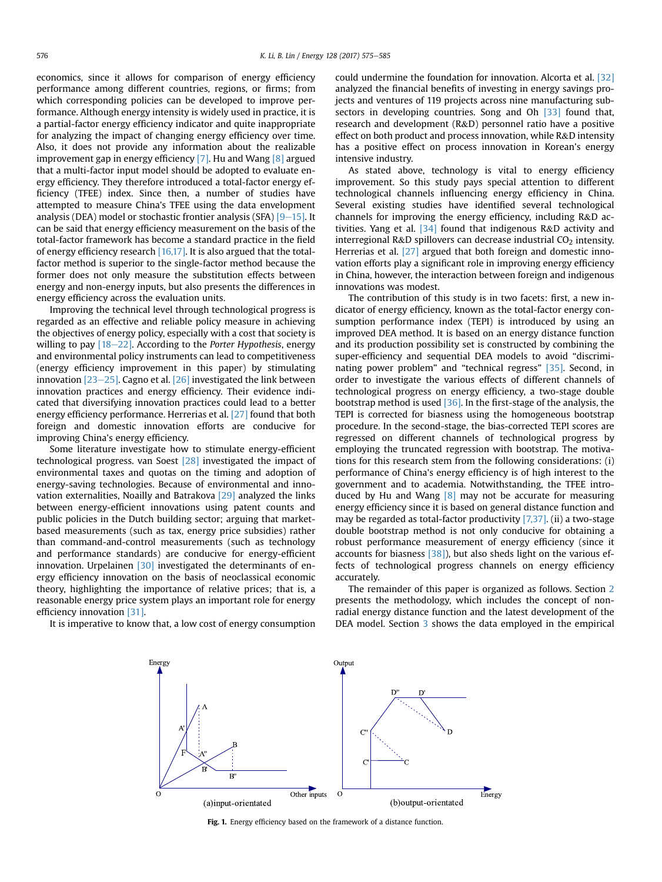economics, since it allows for comparison of energy efficiency performance among different countries, regions, or firms; from which corresponding policies can be developed to improve performance. Although energy intensity is widely used in practice, it is a partial-factor energy efficiency indicator and quite inappropriate for analyzing the impact of changing energy efficiency over time. Also, it does not provide any information about the realizable improvement gap in energy efficiency [7]. Hu and Wang [8] argued that a multi-factor input model should be adopted to evaluate energy efficiency. They therefore introduced a total-factor energy efficiency (TFEE) index. Since then, a number of studies have attempted to measure China's TFEE using the data envelopment analysis (DEA) model or stochastic frontier analysis (SFA)  $[9-15]$ . It can be said that energy efficiency measurement on the basis of the total-factor framework has become a standard practice in the field of energy efficiency research [16,17]. It is also argued that the totalfactor method is superior to the single-factor method because the former does not only measure the substitution effects between energy and non-energy inputs, but also presents the differences in energy efficiency across the evaluation units.

Improving the technical level through technological progress is regarded as an effective and reliable policy measure in achieving the objectives of energy policy, especially with a cost that society is willing to pay  $[18-22]$ . According to the Porter Hypothesis, energy and environmental policy instruments can lead to competitiveness (energy efficiency improvement in this paper) by stimulating innovation  $[23-25]$ . Cagno et al.  $[26]$  investigated the link between innovation practices and energy efficiency. Their evidence indicated that diversifying innovation practices could lead to a better energy efficiency performance. Herrerias et al. [27] found that both foreign and domestic innovation efforts are conducive for improving China's energy efficiency.

Some literature investigate how to stimulate energy-efficient technological progress. van Soest [28] investigated the impact of environmental taxes and quotas on the timing and adoption of energy-saving technologies. Because of environmental and innovation externalities, Noailly and Batrakova [29] analyzed the links between energy-efficient innovations using patent counts and public policies in the Dutch building sector; arguing that marketbased measurements (such as tax, energy price subsidies) rather than command-and-control measurements (such as technology and performance standards) are conducive for energy-efficient innovation. Urpelainen [30] investigated the determinants of energy efficiency innovation on the basis of neoclassical economic theory, highlighting the importance of relative prices; that is, a reasonable energy price system plays an important role for energy efficiency innovation [31].

It is imperative to know that, a low cost of energy consumption

could undermine the foundation for innovation. Alcorta et al. [32] analyzed the financial benefits of investing in energy savings projects and ventures of 119 projects across nine manufacturing subsectors in developing countries. Song and Oh [33] found that, research and development (R&D) personnel ratio have a positive effect on both product and process innovation, while R&D intensity has a positive effect on process innovation in Korean's energy intensive industry.

As stated above, technology is vital to energy efficiency improvement. So this study pays special attention to different technological channels influencing energy efficiency in China. Several existing studies have identified several technological channels for improving the energy efficiency, including R&D activities. Yang et al.  $[34]$  found that indigenous R&D activity and interregional R&D spillovers can decrease industrial  $CO<sub>2</sub>$  intensity. Herrerias et al. [27] argued that both foreign and domestic innovation efforts play a significant role in improving energy efficiency in China, however, the interaction between foreign and indigenous innovations was modest.

The contribution of this study is in two facets: first, a new indicator of energy efficiency, known as the total-factor energy consumption performance index (TEPI) is introduced by using an improved DEA method. It is based on an energy distance function and its production possibility set is constructed by combining the super-efficiency and sequential DEA models to avoid "discriminating power problem" and "technical regress" [35]. Second, in order to investigate the various effects of different channels of technological progress on energy efficiency, a two-stage double bootstrap method is used [36]. In the first-stage of the analysis, the TEPI is corrected for biasness using the homogeneous bootstrap procedure. In the second-stage, the bias-corrected TEPI scores are regressed on different channels of technological progress by employing the truncated regression with bootstrap. The motivations for this research stem from the following considerations: (i) performance of China's energy efficiency is of high interest to the government and to academia. Notwithstanding, the TFEE introduced by Hu and Wang  $[8]$  may not be accurate for measuring energy efficiency since it is based on general distance function and may be regarded as total-factor productivity  $[7,37]$ . (ii) a two-stage double bootstrap method is not only conducive for obtaining a robust performance measurement of energy efficiency (since it accounts for biasness  $[38]$ , but also sheds light on the various effects of technological progress channels on energy efficiency accurately.

The remainder of this paper is organized as follows. Section 2 presents the methodology, which includes the concept of nonradial energy distance function and the latest development of the DEA model. Section 3 shows the data employed in the empirical



Fig. 1. Energy efficiency based on the framework of a distance function.